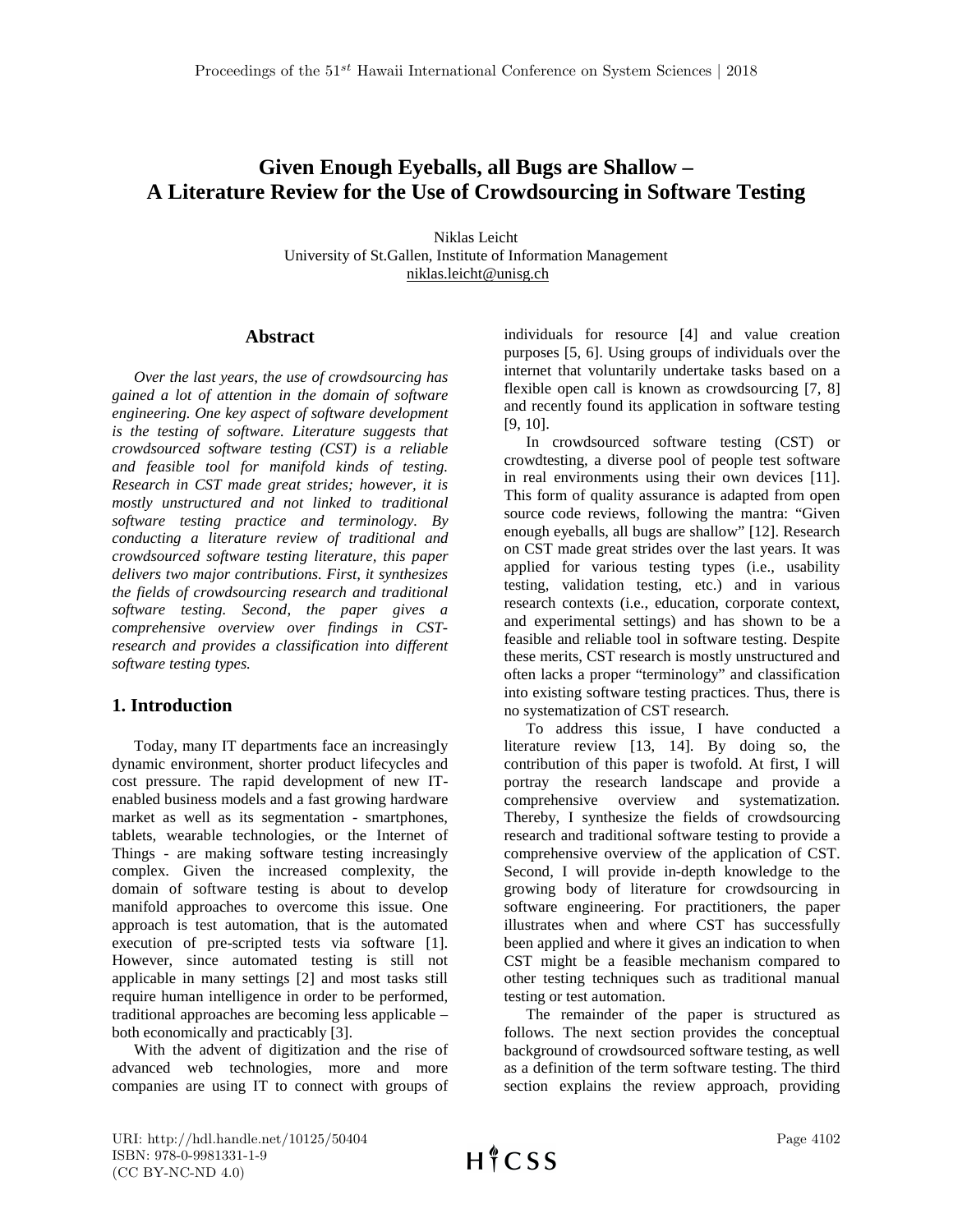# **Given Enough Eyeballs, all Bugs are Shallow – A Literature Review for the Use of Crowdsourcing in Software Testing**

Niklas Leicht University of St.Gallen, Institute of Information Management niklas.leicht@unisg.ch

### **Abstract**

*Over the last years, the use of crowdsourcing has gained a lot of attention in the domain of software engineering. One key aspect of software development is the testing of software. Literature suggests that crowdsourced software testing (CST) is a reliable and feasible tool for manifold kinds of testing. Research in CST made great strides; however, it is mostly unstructured and not linked to traditional software testing practice and terminology. By conducting a literature review of traditional and crowdsourced software testing literature, this paper delivers two major contributions. First, it synthesizes the fields of crowdsourcing research and traditional software testing. Second, the paper gives a comprehensive overview over findings in CSTresearch and provides a classification into different software testing types.*

## **1. Introduction**

Today, many IT departments face an increasingly dynamic environment, shorter product lifecycles and cost pressure. The rapid development of new ITenabled business models and a fast growing hardware market as well as its segmentation - smartphones, tablets, wearable technologies, or the Internet of Things - are making software testing increasingly complex. Given the increased complexity, the domain of software testing is about to develop manifold approaches to overcome this issue. One approach is test automation, that is the automated execution of pre-scripted tests via software [\[1\]](#page-7-0). However, since automated testing is still not applicable in many settings [\[2\]](#page-7-1) and most tasks still require human intelligence in order to be performed, traditional approaches are becoming less applicable – both economically and practicably [\[3\]](#page-7-2).

With the advent of digitization and the rise of advanced web technologies, more and more companies are using IT to connect with groups of

individuals for resource [\[4\]](#page-7-3) and value creation purposes [\[5,](#page-7-4) [6\]](#page-7-5). Using groups of individuals over the internet that voluntarily undertake tasks based on a flexible open call is known as crowdsourcing [\[7,](#page-7-6) [8\]](#page-7-7) and recently found its application in software testing [\[9,](#page-7-8) [10\]](#page-7-9).

In crowdsourced software testing (CST) or crowdtesting, a diverse pool of people test software in real environments using their own devices [\[11\]](#page-7-10). This form of quality assurance is adapted from open source code reviews, following the mantra: "Given enough eyeballs, all bugs are shallow" [\[12\]](#page-7-11). Research on CST made great strides over the last years. It was applied for various testing types (i.e., usability testing, validation testing, etc.) and in various research contexts (i.e., education, corporate context, and experimental settings) and has shown to be a feasible and reliable tool in software testing. Despite these merits, CST research is mostly unstructured and often lacks a proper "terminology" and classification into existing software testing practices. Thus, there is no systematization of CST research.

To address this issue, I have conducted a literature review [\[13,](#page-7-12) [14\]](#page-8-0). By doing so, the contribution of this paper is twofold. At first, I will portray the research landscape and provide a comprehensive overview and systematization. Thereby, I synthesize the fields of crowdsourcing research and traditional software testing to provide a comprehensive overview of the application of CST. Second, I will provide in-depth knowledge to the growing body of literature for crowdsourcing in software engineering. For practitioners, the paper illustrates when and where CST has successfully been applied and where it gives an indication to when CST might be a feasible mechanism compared to other testing techniques such as traditional manual testing or test automation.

The remainder of the paper is structured as follows. The next section provides the conceptual background of crowdsourced software testing, as well as a definition of the term software testing. The third section explains the review approach, providing

URI: http://hdl.handle.net/10125/50404 ISBN: 978-0-9981331-1-9 (CC BY-NC-ND 4.0)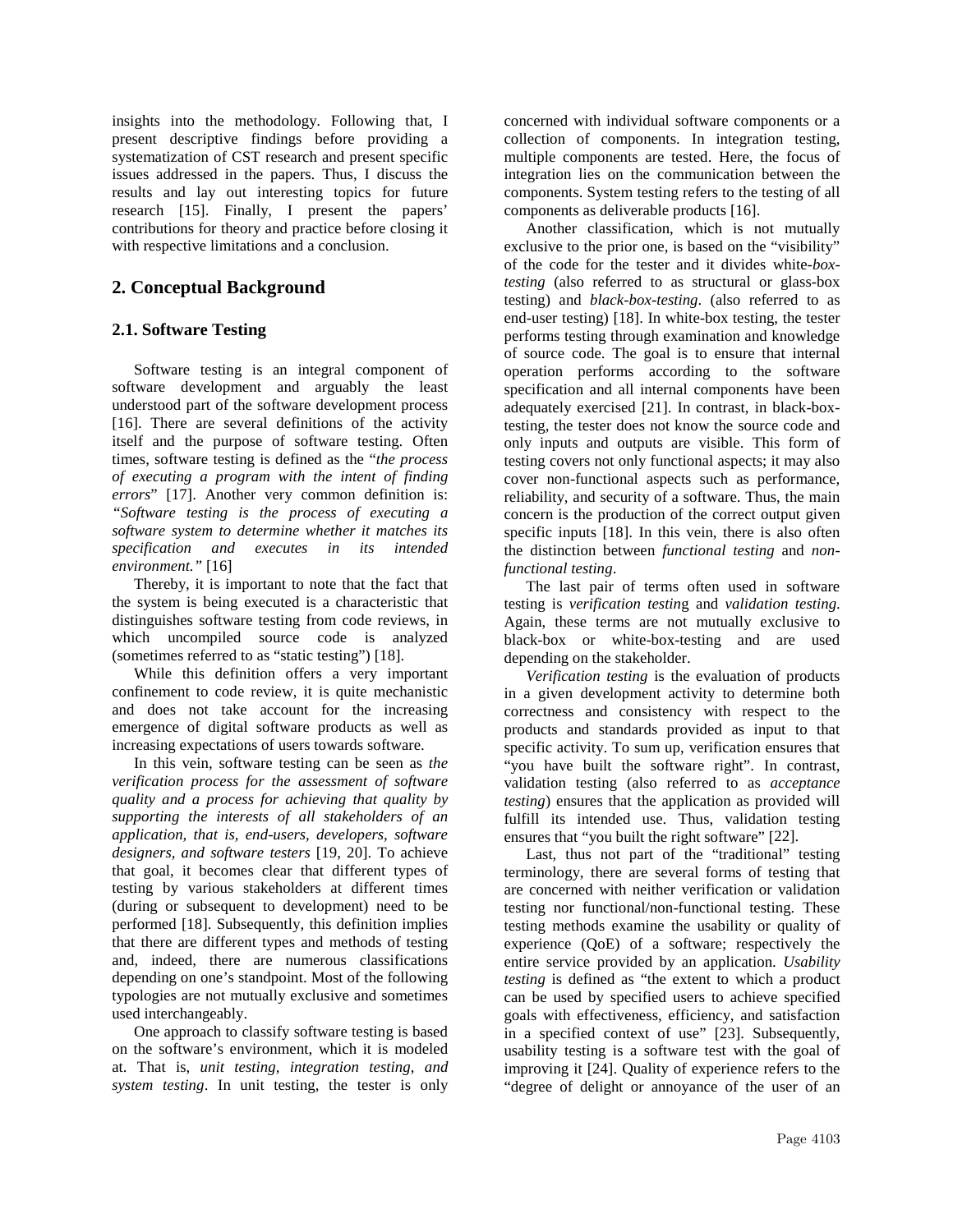insights into the methodology. Following that, I present descriptive findings before providing a systematization of CST research and present specific issues addressed in the papers. Thus, I discuss the results and lay out interesting topics for future research [\[15\]](#page-8-1). Finally, I present the papers' contributions for theory and practice before closing it with respective limitations and a conclusion.

## **2. Conceptual Background**

### **2.1. Software Testing**

Software testing is an integral component of software development and arguably the least understood part of the software development process [\[16\]](#page-8-2). There are several definitions of the activity itself and the purpose of software testing. Often times, software testing is defined as the "*the process of executing a program with the intent of finding errors*" [\[17\]](#page-8-3). Another very common definition is: *"Software testing is the process of executing a software system to determine whether it matches its specification and executes in its intended environment."* [\[16\]](#page-8-2)

Thereby, it is important to note that the fact that the system is being executed is a characteristic that distinguishes software testing from code reviews, in which uncompiled source code is analyzed (sometimes referred to as "static testing") [\[18\]](#page-8-4).

While this definition offers a very important confinement to code review, it is quite mechanistic and does not take account for the increasing emergence of digital software products as well as increasing expectations of users towards software.

In this vein, software testing can be seen as *the verification process for the assessment of software quality and a process for achieving that quality by supporting the interests of all stakeholders of an application, that is, end-users, developers, software designers, and software testers* [\[19,](#page-8-5) [20\]](#page-8-6). To achieve that goal, it becomes clear that different types of testing by various stakeholders at different times (during or subsequent to development) need to be performed [\[18\]](#page-8-4). Subsequently, this definition implies that there are different types and methods of testing and, indeed, there are numerous classifications depending on one's standpoint. Most of the following typologies are not mutually exclusive and sometimes used interchangeably.

One approach to classify software testing is based on the software's environment, which it is modeled at. That is, *unit testing*, *integration testing*, *and system testing*. In unit testing, the tester is only

concerned with individual software components or a collection of components. In integration testing, multiple components are tested. Here, the focus of integration lies on the communication between the components. System testing refers to the testing of all components as deliverable products [\[16\]](#page-8-2).

Another classification, which is not mutually exclusive to the prior one, is based on the "visibility" of the code for the tester and it divides white*-boxtesting* (also referred to as structural or glass-box testing) and *black-box-testing*. (also referred to as end-user testing) [\[18\]](#page-8-4). In white-box testing, the tester performs testing through examination and knowledge of source code. The goal is to ensure that internal operation performs according to the software specification and all internal components have been adequately exercised [\[21\]](#page-8-7). In contrast, in black-boxtesting, the tester does not know the source code and only inputs and outputs are visible. This form of testing covers not only functional aspects; it may also cover non-functional aspects such as performance, reliability, and security of a software. Thus, the main concern is the production of the correct output given specific inputs [\[18\]](#page-8-4). In this vein, there is also often the distinction between *functional testing* and *nonfunctional testing*.

The last pair of terms often used in software testing is *verification testin*g and *validation testing*. Again, these terms are not mutually exclusive to black-box or white-box-testing and are used depending on the stakeholder.

*Verification testing* is the evaluation of products in a given development activity to determine both correctness and consistency with respect to the products and standards provided as input to that specific activity. To sum up, verification ensures that "you have built the software right". In contrast, validation testing (also referred to as *acceptance testing*) ensures that the application as provided will fulfill its intended use. Thus, validation testing ensures that "you built the right software" [\[22\]](#page-8-8).

Last, thus not part of the "traditional" testing terminology, there are several forms of testing that are concerned with neither verification or validation testing nor functional/non-functional testing. These testing methods examine the usability or quality of experience (QoE) of a software; respectively the entire service provided by an application. *Usability testing* is defined as "the extent to which a product can be used by specified users to achieve specified goals with effectiveness, efficiency, and satisfaction in a specified context of use" [\[23\]](#page-8-9). Subsequently, usability testing is a software test with the goal of improving it [\[24\]](#page-8-10). Quality of experience refers to the "degree of delight or annoyance of the user of an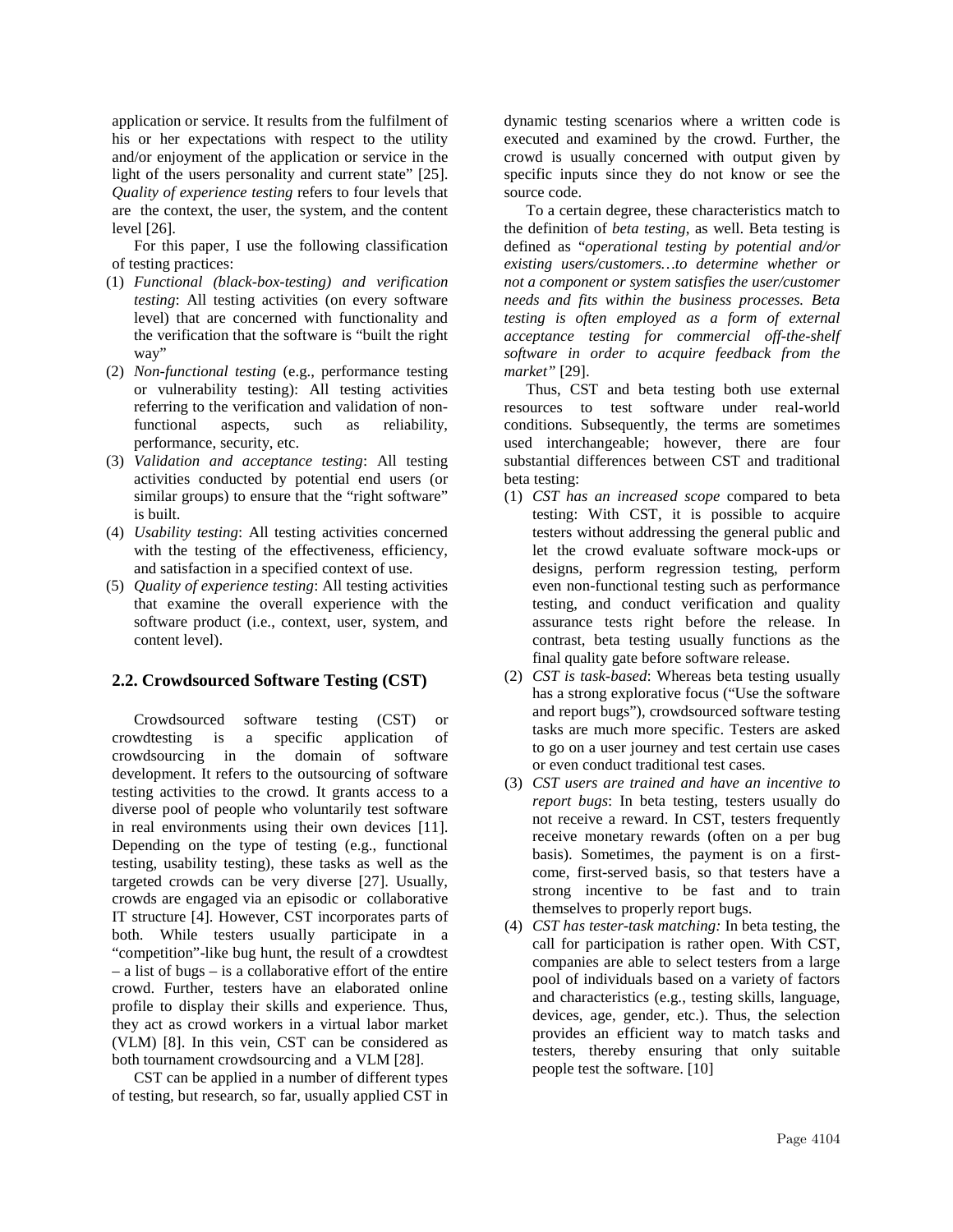application or service. It results from the fulfilment of his or her expectations with respect to the utility and/or enjoyment of the application or service in the light of the users personality and current state" [\[25\]](#page-8-11). *Quality of experience testing* refers to four levels that are the context, the user, the system, and the content level [\[26\]](#page-8-12).

For this paper, I use the following classification of testing practices:

- (1) *Functional (black-box-testing) and verification testing*: All testing activities (on every software level) that are concerned with functionality and the verification that the software is "built the right way"
- (2) *Non-functional testing* (e.g., performance testing or vulnerability testing): All testing activities referring to the verification and validation of nonfunctional aspects, such as reliability, performance, security, etc.
- (3) *Validation and acceptance testing*: All testing activities conducted by potential end users (or similar groups) to ensure that the "right software" is built.
- (4) *Usability testing*: All testing activities concerned with the testing of the effectiveness, efficiency, and satisfaction in a specified context of use.
- (5) *Quality of experience testing*: All testing activities that examine the overall experience with the software product (i.e., context, user, system, and content level).

#### **2.2. Crowdsourced Software Testing (CST)**

Crowdsourced software testing (CST) or crowdtesting is a specific application of crowdsourcing in the domain of software development. It refers to the outsourcing of software testing activities to the crowd. It grants access to a diverse pool of people who voluntarily test software in real environments using their own devices [\[11\]](#page-7-10). Depending on the type of testing (e.g., functional testing, usability testing), these tasks as well as the targeted crowds can be very diverse [\[27\]](#page-8-13). Usually, crowds are engaged via an episodic or collaborative IT structure [\[4\]](#page-7-3). However, CST incorporates parts of both. While testers usually participate in a "competition"-like bug hunt, the result of a crowdtest – a list of bugs – is a collaborative effort of the entire crowd. Further, testers have an elaborated online profile to display their skills and experience. Thus, they act as crowd workers in a virtual labor market (VLM) [\[8\]](#page-7-7). In this vein, CST can be considered as both tournament crowdsourcing and a VLM [\[28\]](#page-8-14).

CST can be applied in a number of different types of testing, but research, so far, usually applied CST in

dynamic testing scenarios where a written code is executed and examined by the crowd. Further, the crowd is usually concerned with output given by specific inputs since they do not know or see the source code.

To a certain degree, these characteristics match to the definition of *beta testing*, as well. Beta testing is defined as "*operational testing by potential and/or existing users/customers…to determine whether or not a component or system satisfies the user/customer needs and fits within the business processes. Beta testing is often employed as a form of external acceptance testing for commercial off-the-shelf software in order to acquire feedback from the market"* [\[29\]](#page-8-15).

Thus, CST and beta testing both use external resources to test software under real-world conditions. Subsequently, the terms are sometimes used interchangeable; however, there are four substantial differences between CST and traditional beta testing:

- (1) *CST has an increased scope* compared to beta testing: With CST, it is possible to acquire testers without addressing the general public and let the crowd evaluate software mock-ups or designs, perform regression testing, perform even non-functional testing such as performance testing, and conduct verification and quality assurance tests right before the release. In contrast, beta testing usually functions as the final quality gate before software release.
- (2) *CST is task-based*: Whereas beta testing usually has a strong explorative focus ("Use the software and report bugs"), crowdsourced software testing tasks are much more specific. Testers are asked to go on a user journey and test certain use cases or even conduct traditional test cases.
- (3) *CST users are trained and have an incentive to report bugs*: In beta testing, testers usually do not receive a reward. In CST, testers frequently receive monetary rewards (often on a per bug basis). Sometimes, the payment is on a firstcome, first-served basis, so that testers have a strong incentive to be fast and to train themselves to properly report bugs.
- (4) *CST has tester-task matching:* In beta testing, the call for participation is rather open. With CST, companies are able to select testers from a large pool of individuals based on a variety of factors and characteristics (e.g., testing skills, language, devices, age, gender, etc.). Thus, the selection provides an efficient way to match tasks and testers, thereby ensuring that only suitable people test the software. [\[10\]](#page-7-9)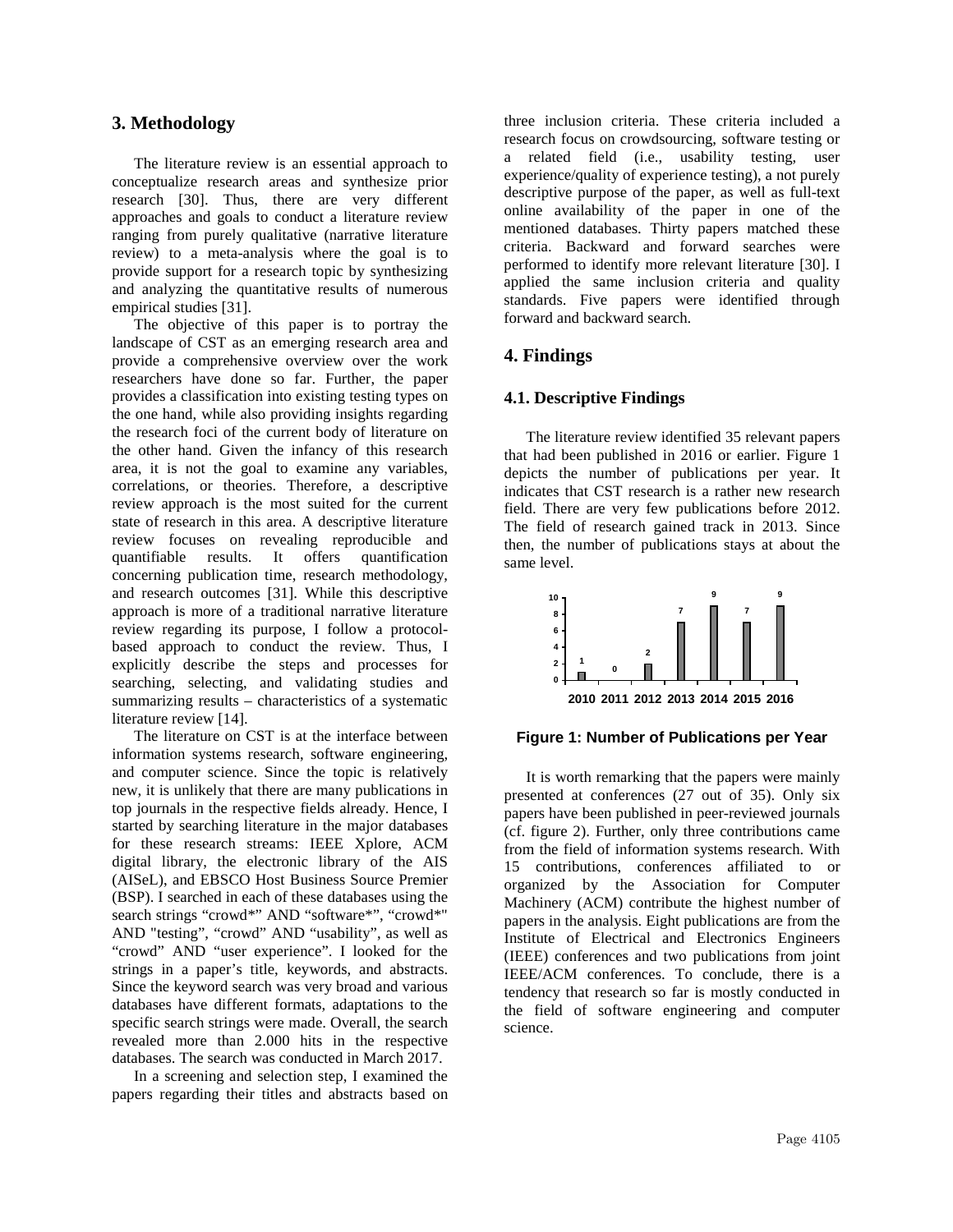### **3. Methodology**

The literature review is an essential approach to conceptualize research areas and synthesize prior research [\[30\]](#page-8-16). Thus, there are very different approaches and goals to conduct a literature review ranging from purely qualitative (narrative literature review) to a meta-analysis where the goal is to provide support for a research topic by synthesizing and analyzing the quantitative results of numerous empirical studies [\[31\]](#page-8-17).

The objective of this paper is to portray the landscape of CST as an emerging research area and provide a comprehensive overview over the work researchers have done so far. Further, the paper provides a classification into existing testing types on the one hand, while also providing insights regarding the research foci of the current body of literature on the other hand. Given the infancy of this research area, it is not the goal to examine any variables, correlations, or theories. Therefore, a descriptive review approach is the most suited for the current state of research in this area. A descriptive literature review focuses on revealing reproducible and quantifiable results. It offers quantification concerning publication time, research methodology, and research outcomes [\[31\]](#page-8-17). While this descriptive approach is more of a traditional narrative literature review regarding its purpose, I follow a protocolbased approach to conduct the review. Thus, I explicitly describe the steps and processes for searching, selecting, and validating studies and summarizing results – characteristics of a systematic literature review [\[14\]](#page-8-0).

The literature on CST is at the interface between information systems research, software engineering, and computer science. Since the topic is relatively new, it is unlikely that there are many publications in top journals in the respective fields already. Hence, I started by searching literature in the major databases for these research streams: IEEE Xplore, ACM digital library, the electronic library of the AIS (AISeL), and EBSCO Host Business Source Premier (BSP). I searched in each of these databases using the search strings "crowd\*" AND "software\*", "crowd\*" AND "testing", "crowd" AND "usability", as well as "crowd" AND "user experience". I looked for the strings in a paper's title, keywords, and abstracts. Since the keyword search was very broad and various databases have different formats, adaptations to the specific search strings were made. Overall, the search revealed more than 2.000 hits in the respective databases. The search was conducted in March 2017.

In a screening and selection step, I examined the papers regarding their titles and abstracts based on

three inclusion criteria. These criteria included a research focus on crowdsourcing, software testing or a related field (i.e., usability testing, user experience/quality of experience testing), a not purely descriptive purpose of the paper, as well as full-text online availability of the paper in one of the mentioned databases. Thirty papers matched these criteria. Backward and forward searches were performed to identify more relevant literature [\[30\]](#page-8-16). I applied the same inclusion criteria and quality standards. Five papers were identified through forward and backward search.

## **4. Findings**

#### **4.1. Descriptive Findings**

The literature review identified 35 relevant papers that had been published in 2016 or earlier. Figure 1 depicts the number of publications per year. It indicates that CST research is a rather new research field. There are very few publications before 2012. The field of research gained track in 2013. Since then, the number of publications stays at about the same level.



#### **Figure 1: Number of Publications per Year**

It is worth remarking that the papers were mainly presented at conferences (27 out of 35). Only six papers have been published in peer-reviewed journals (cf. figure 2). Further, only three contributions came from the field of information systems research. With 15 contributions, conferences affiliated to or organized by the Association for Computer Machinery (ACM) contribute the highest number of papers in the analysis. Eight publications are from the Institute of Electrical and Electronics Engineers (IEEE) conferences and two publications from joint IEEE/ACM conferences. To conclude, there is a tendency that research so far is mostly conducted in the field of software engineering and computer science.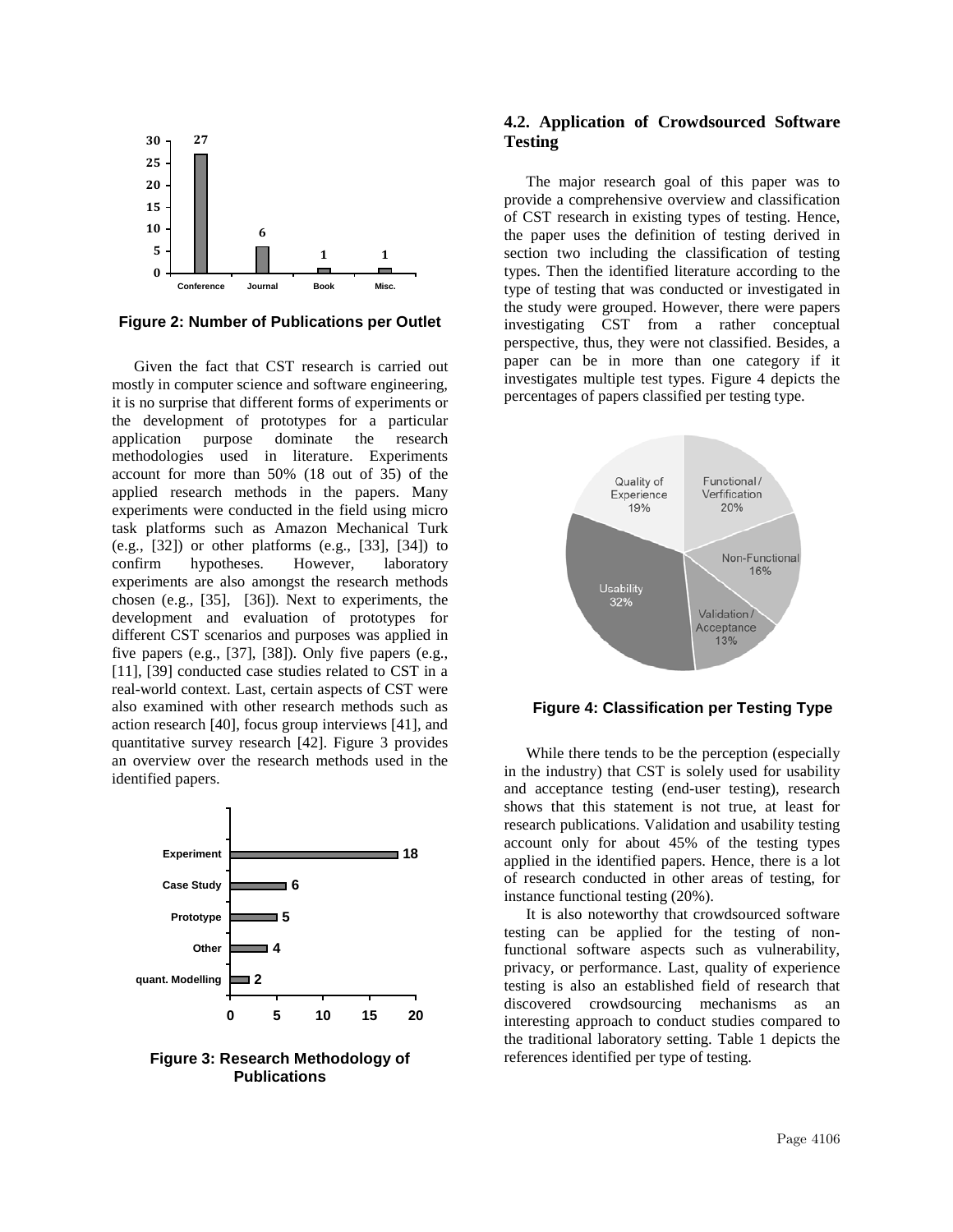

**Figure 2: Number of Publications per Outlet**

Given the fact that CST research is carried out mostly in computer science and software engineering, it is no surprise that different forms of experiments or the development of prototypes for a particular application purpose dominate the research methodologies used in literature. Experiments account for more than 50% (18 out of 35) of the applied research methods in the papers. Many experiments were conducted in the field using micro task platforms such as Amazon Mechanical Turk  $(e.g., [32])$  $(e.g., [32])$  $(e.g., [32])$  or other platforms  $(e.g., [33], [34])$  $(e.g., [33], [34])$  $(e.g., [33], [34])$  $(e.g., [33], [34])$  $(e.g., [33], [34])$  to confirm hypotheses. However, laboratory experiments are also amongst the research methods chosen (e.g., [\[35\]](#page-8-21), [\[36\]](#page-8-22)). Next to experiments, the development and evaluation of prototypes for different CST scenarios and purposes was applied in five papers (e.g., [\[37\]](#page-8-23), [\[38\]](#page-8-24)). Only five papers (e.g., [\[11\]](#page-7-10), [\[39\]](#page-8-25) conducted case studies related to CST in a real-world context. Last, certain aspects of CST were also examined with other research methods such as action research [\[40\]](#page-8-26), focus group interviews [\[41\]](#page-8-27), and quantitative survey research [\[42\]](#page-8-28). Figure 3 provides an overview over the research methods used in the identified papers.



**Figure 3: Research Methodology of Publications**

### **4.2. Application of Crowdsourced Software Testing**

The major research goal of this paper was to provide a comprehensive overview and classification of CST research in existing types of testing. Hence, the paper uses the definition of testing derived in section two including the classification of testing types. Then the identified literature according to the type of testing that was conducted or investigated in the study were grouped. However, there were papers investigating CST from a rather conceptual perspective, thus, they were not classified. Besides, a paper can be in more than one category if it investigates multiple test types. Figure 4 depicts the percentages of papers classified per testing type.



**Figure 4: Classification per Testing Type**

While there tends to be the perception (especially in the industry) that CST is solely used for usability and acceptance testing (end-user testing), research shows that this statement is not true, at least for research publications. Validation and usability testing account only for about 45% of the testing types applied in the identified papers. Hence, there is a lot of research conducted in other areas of testing, for instance functional testing (20%).

It is also noteworthy that crowdsourced software testing can be applied for the testing of nonfunctional software aspects such as vulnerability, privacy, or performance. Last, quality of experience testing is also an established field of research that discovered crowdsourcing mechanisms as an interesting approach to conduct studies compared to the traditional laboratory setting. Table 1 depicts the references identified per type of testing.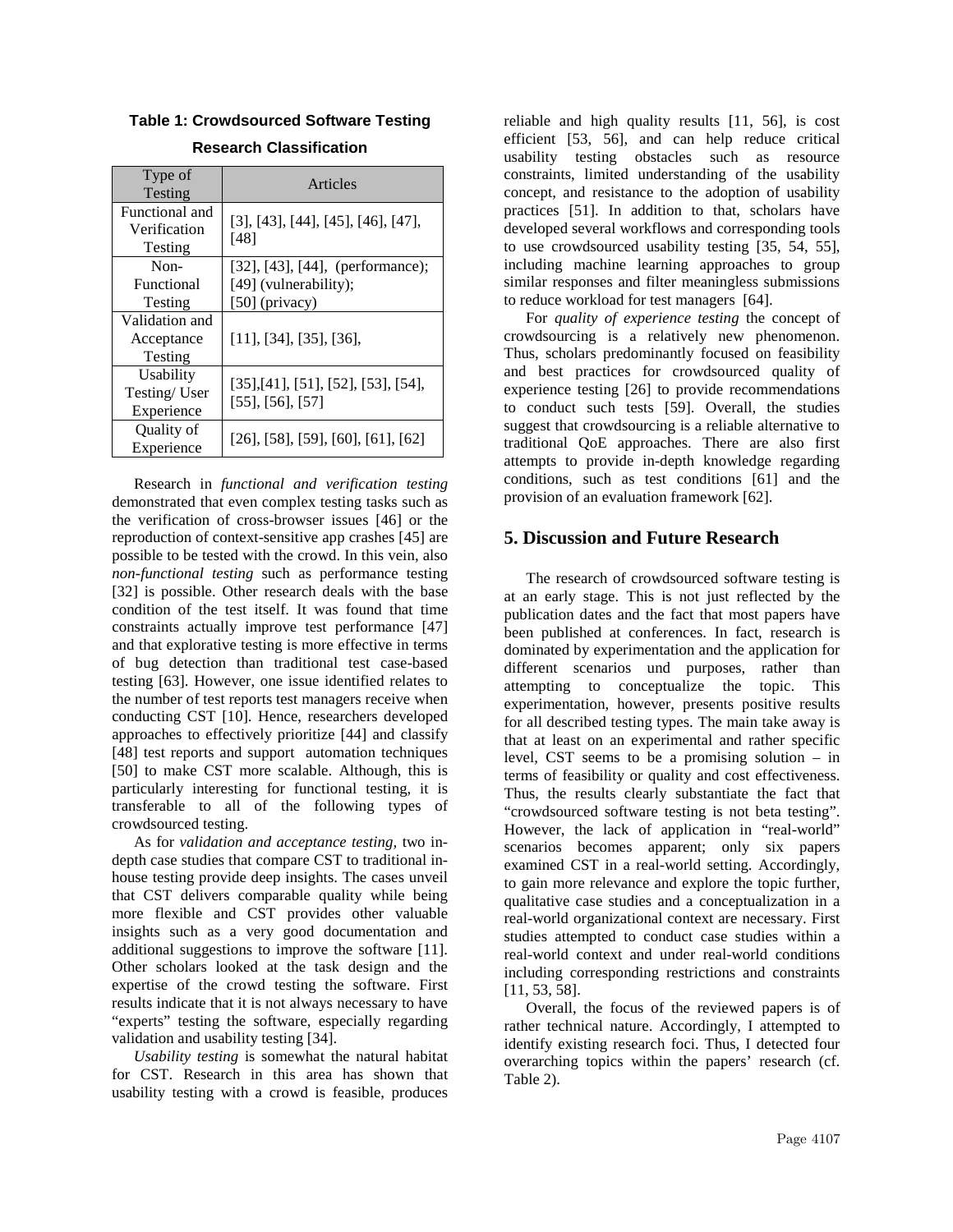| Type of<br>Testing                        | Articles                                                                        |
|-------------------------------------------|---------------------------------------------------------------------------------|
| Functional and<br>Verification<br>Testing | $[3]$ , [43], [44], [45], [46], [47],<br>[48]                                   |
| $Non-$<br>Functional<br>Testing           | [32], [43], [44], (performance);<br>$[49]$ (vulnerability);<br>$[50]$ (privacy) |
| Validation and<br>Acceptance<br>Testing   | $[11]$ , [34], [35], [36],                                                      |
| Usability<br>Testing/User<br>Experience   | [35],[41],[51],[52],[53],[54],<br>$[55]$ , [56], [57]                           |
| Quality of<br>Experience                  | $[26]$ , [58], [59], [60], [61], [62]                                           |

## **Table 1: Crowdsourced Software Testing Research Classification**

Research in *functional and verification testing* demonstrated that even complex testing tasks such as the verification of cross-browser issues [\[46\]](#page-9-3) or the reproduction of context-sensitive app crashes [\[45\]](#page-9-2) are possible to be tested with the crowd. In this vein, also *non-functional testing* such as performance testing [\[32\]](#page-8-18) is possible. Other research deals with the base condition of the test itself. It was found that time constraints actually improve test performance [\[47\]](#page-9-4) and that explorative testing is more effective in terms of bug detection than traditional test case-based testing [\[63\]](#page-9-20). However, one issue identified relates to the number of test reports test managers receive when conducting CST [\[10\]](#page-7-9). Hence, researchers developed approaches to effectively prioritize [\[44\]](#page-9-1) and classify [\[48\]](#page-9-5) test reports and support automation techniques [\[50\]](#page-9-7) to make CST more scalable. Although, this is particularly interesting for functional testing, it is transferable to all of the following types of crowdsourced testing.

As for *validation and acceptance testing,* two indepth case studies that compare CST to traditional inhouse testing provide deep insights. The cases unveil that CST delivers comparable quality while being more flexible and CST provides other valuable insights such as a very good documentation and additional suggestions to improve the software [\[11\]](#page-7-10). Other scholars looked at the task design and the expertise of the crowd testing the software. First results indicate that it is not always necessary to have "experts" testing the software, especially regarding validation and usability testing [\[34\]](#page-8-20).

*Usability testing* is somewhat the natural habitat for CST. Research in this area has shown that usability testing with a crowd is feasible, produces

reliable and high quality results [\[11,](#page-7-10) [56\]](#page-9-13), is cost efficient [\[53,](#page-9-10) [56\]](#page-9-13), and can help reduce critical usability testing obstacles such as resource constraints, limited understanding of the usability concept, and resistance to the adoption of usability practices [\[51\]](#page-9-8). In addition to that, scholars have developed several workflows and corresponding tools to use crowdsourced usability testing [\[35,](#page-8-21) [54,](#page-9-11) [55\]](#page-9-12), including machine learning approaches to group similar responses and filter meaningless submissions to reduce workload for test managers [\[64\]](#page-9-21).

For *quality of experience testing* the concept of crowdsourcing is a relatively new phenomenon. Thus, scholars predominantly focused on feasibility and best practices for crowdsourced quality of experience testing [\[26\]](#page-8-12) to provide recommendations to conduct such tests [\[59\]](#page-9-16). Overall, the studies suggest that crowdsourcing is a reliable alternative to traditional QoE approaches. There are also first attempts to provide in-depth knowledge regarding conditions, such as test conditions [\[61\]](#page-9-18) and the provision of an evaluation framework [\[62\]](#page-9-19).

## **5. Discussion and Future Research**

The research of crowdsourced software testing is at an early stage. This is not just reflected by the publication dates and the fact that most papers have been published at conferences. In fact, research is dominated by experimentation and the application for different scenarios und purposes, rather than attempting to conceptualize the topic. This experimentation, however, presents positive results for all described testing types. The main take away is that at least on an experimental and rather specific level, CST seems to be a promising solution – in terms of feasibility or quality and cost effectiveness. Thus, the results clearly substantiate the fact that "crowdsourced software testing is not beta testing". However, the lack of application in "real-world" scenarios becomes apparent; only six papers examined CST in a real-world setting. Accordingly, to gain more relevance and explore the topic further, qualitative case studies and a conceptualization in a real-world organizational context are necessary. First studies attempted to conduct case studies within a real-world context and under real-world conditions including corresponding restrictions and constraints [\[11,](#page-7-10) [53,](#page-9-10) [58\]](#page-9-15).

Overall, the focus of the reviewed papers is of rather technical nature. Accordingly, I attempted to identify existing research foci. Thus, I detected four overarching topics within the papers' research (cf. Table 2).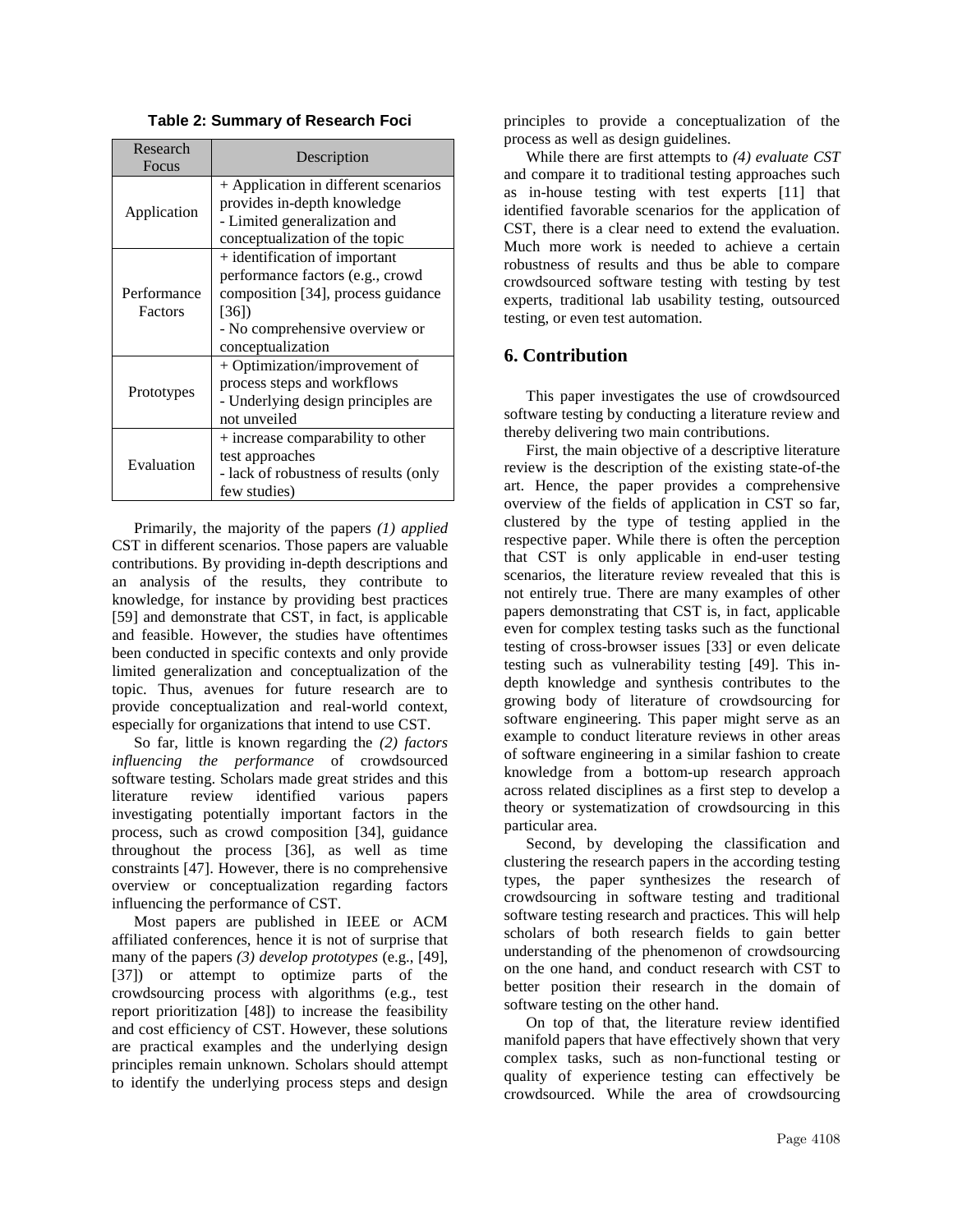|  |  |  | <b>Table 2: Summary of Research Foci</b> |  |
|--|--|--|------------------------------------------|--|
|--|--|--|------------------------------------------|--|

| Research<br>Focus      | Description                                                                                                                                                             |  |
|------------------------|-------------------------------------------------------------------------------------------------------------------------------------------------------------------------|--|
| Application            | + Application in different scenarios<br>provides in-depth knowledge                                                                                                     |  |
|                        | - Limited generalization and<br>conceptualization of the topic                                                                                                          |  |
| Performance<br>Factors | + identification of important<br>performance factors (e.g., crowd<br>composition [34], process guidance<br>[36])<br>- No comprehensive overview or<br>conceptualization |  |
| Prototypes             | + Optimization/improvement of<br>process steps and workflows<br>- Underlying design principles are<br>not unveiled                                                      |  |
| Evaluation             | + increase comparability to other<br>test approaches<br>- lack of robustness of results (only<br>few studies)                                                           |  |

Primarily, the majority of the papers *(1) applied*  CST in different scenarios. Those papers are valuable contributions. By providing in-depth descriptions and an analysis of the results, they contribute to knowledge, for instance by providing best practices [\[59\]](#page-9-16) and demonstrate that CST, in fact, is applicable and feasible. However, the studies have oftentimes been conducted in specific contexts and only provide limited generalization and conceptualization of the topic. Thus, avenues for future research are to provide conceptualization and real-world context, especially for organizations that intend to use CST.

So far, little is known regarding the *(2) factors influencing the performance* of crowdsourced software testing. Scholars made great strides and this literature review identified various papers investigating potentially important factors in the process, such as crowd composition [\[34\]](#page-8-20), guidance throughout the process [\[36\]](#page-8-22), as well as time constraints [\[47\]](#page-9-4). However, there is no comprehensive overview or conceptualization regarding factors influencing the performance of CST.

Most papers are published in IEEE or ACM affiliated conferences, hence it is not of surprise that many of the papers *(3) develop prototypes* (e.g., [\[49\]](#page-9-6), [\[37\]](#page-8-23)) or attempt to optimize parts of the crowdsourcing process with algorithms (e.g., test report prioritization [\[48\]](#page-9-5)) to increase the feasibility and cost efficiency of CST. However, these solutions are practical examples and the underlying design principles remain unknown. Scholars should attempt to identify the underlying process steps and design

principles to provide a conceptualization of the process as well as design guidelines.

While there are first attempts to *(4) evaluate CST* and compare it to traditional testing approaches such as in-house testing with test experts [\[11\]](#page-7-10) that identified favorable scenarios for the application of CST, there is a clear need to extend the evaluation. Much more work is needed to achieve a certain robustness of results and thus be able to compare crowdsourced software testing with testing by test experts, traditional lab usability testing, outsourced testing, or even test automation.

## **6. Contribution**

This paper investigates the use of crowdsourced software testing by conducting a literature review and thereby delivering two main contributions.

First, the main objective of a descriptive literature review is the description of the existing state-of-the art. Hence, the paper provides a comprehensive overview of the fields of application in CST so far, clustered by the type of testing applied in the respective paper. While there is often the perception that CST is only applicable in end-user testing scenarios, the literature review revealed that this is not entirely true. There are many examples of other papers demonstrating that CST is, in fact, applicable even for complex testing tasks such as the functional testing of cross-browser issues [\[33\]](#page-8-19) or even delicate testing such as vulnerability testing [\[49\]](#page-9-6). This indepth knowledge and synthesis contributes to the growing body of literature of crowdsourcing for software engineering. This paper might serve as an example to conduct literature reviews in other areas of software engineering in a similar fashion to create knowledge from a bottom-up research approach across related disciplines as a first step to develop a theory or systematization of crowdsourcing in this particular area.

Second, by developing the classification and clustering the research papers in the according testing types, the paper synthesizes the research of crowdsourcing in software testing and traditional software testing research and practices. This will help scholars of both research fields to gain better understanding of the phenomenon of crowdsourcing on the one hand, and conduct research with CST to better position their research in the domain of software testing on the other hand.

On top of that, the literature review identified manifold papers that have effectively shown that very complex tasks, such as non-functional testing or quality of experience testing can effectively be crowdsourced. While the area of crowdsourcing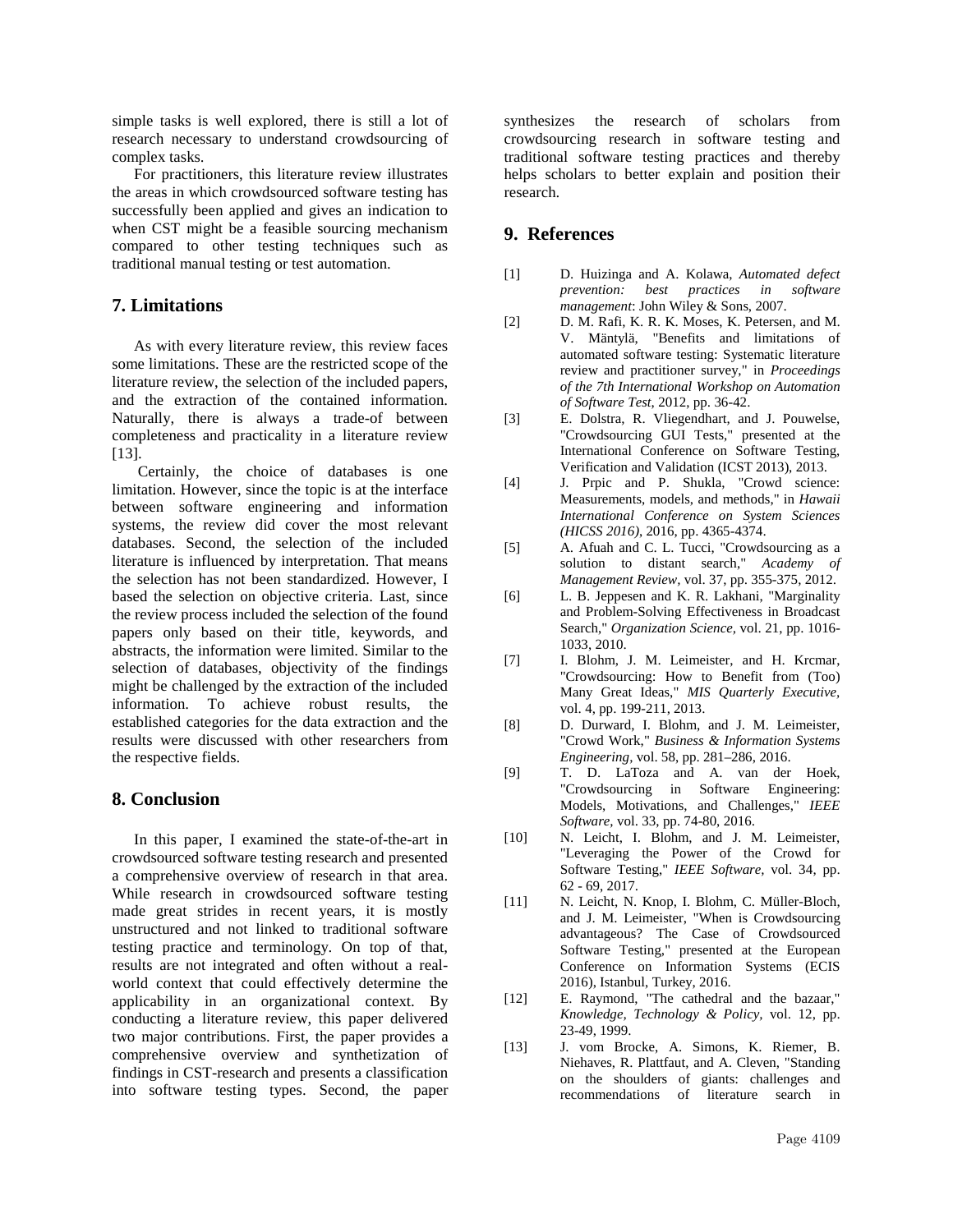simple tasks is well explored, there is still a lot of research necessary to understand crowdsourcing of complex tasks.

For practitioners, this literature review illustrates the areas in which crowdsourced software testing has successfully been applied and gives an indication to when CST might be a feasible sourcing mechanism compared to other testing techniques such as traditional manual testing or test automation.

## **7. Limitations**

As with every literature review, this review faces some limitations. These are the restricted scope of the literature review, the selection of the included papers, and the extraction of the contained information. Naturally, there is always a trade-of between completeness and practicality in a literature review [\[13\]](#page-7-12).

Certainly, the choice of databases is one limitation. However, since the topic is at the interface between software engineering and information systems, the review did cover the most relevant databases. Second, the selection of the included literature is influenced by interpretation. That means the selection has not been standardized. However, I based the selection on objective criteria. Last, since the review process included the selection of the found papers only based on their title, keywords, and abstracts, the information were limited. Similar to the selection of databases, objectivity of the findings might be challenged by the extraction of the included information. To achieve robust results, the established categories for the data extraction and the results were discussed with other researchers from the respective fields.

## **8. Conclusion**

In this paper, I examined the state-of-the-art in crowdsourced software testing research and presented a comprehensive overview of research in that area. While research in crowdsourced software testing made great strides in recent years, it is mostly unstructured and not linked to traditional software testing practice and terminology. On top of that, results are not integrated and often without a realworld context that could effectively determine the applicability in an organizational context. By conducting a literature review, this paper delivered two major contributions. First, the paper provides a comprehensive overview and synthetization of findings in CST-research and presents a classification into software testing types. Second, the paper

synthesizes the research of scholars from crowdsourcing research in software testing and traditional software testing practices and thereby helps scholars to better explain and position their research.

## **9. References**

- <span id="page-7-0"></span>[1] D. Huizinga and A. Kolawa, *Automated defect prevention: best practices in software management*: John Wiley & Sons, 2007.
- <span id="page-7-1"></span>[2] D. M. Rafi, K. R. K. Moses, K. Petersen, and M. V. Mäntylä, "Benefits and limitations of automated software testing: Systematic literature review and practitioner survey," in *Proceedings of the 7th International Workshop on Automation of Software Test*, 2012, pp. 36-42.
- <span id="page-7-2"></span>[3] E. Dolstra, R. Vliegendhart, and J. Pouwelse, "Crowdsourcing GUI Tests," presented at the International Conference on Software Testing, Verification and Validation (ICST 2013), 2013.
- <span id="page-7-3"></span>[4] J. Prpic and P. Shukla, "Crowd science: Measurements, models, and methods," in *Hawaii International Conference on System Sciences (HICSS 2016)*, 2016, pp. 4365-4374.
- <span id="page-7-4"></span>[5] A. Afuah and C. L. Tucci, "Crowdsourcing as a solution to distant search," *Academy of Management Review,* vol. 37, pp. 355-375, 2012.
- <span id="page-7-5"></span>[6] L. B. Jeppesen and K. R. Lakhani, "Marginality and Problem-Solving Effectiveness in Broadcast Search," *Organization Science,* vol. 21, pp. 1016- 1033, 2010.
- <span id="page-7-6"></span>[7] I. Blohm, J. M. Leimeister, and H. Krcmar, "Crowdsourcing: How to Benefit from (Too) Many Great Ideas," *MIS Quarterly Executive,*  vol. 4, pp. 199-211, 2013.
- <span id="page-7-7"></span>[8] D. Durward, I. Blohm, and J. M. Leimeister, "Crowd Work," *Business & Information Systems Engineering,* vol. 58, pp. 281–286, 2016.
- <span id="page-7-8"></span>[9] T. D. LaToza and A. van der Hoek, "Crowdsourcing in Software Engineering: Models, Motivations, and Challenges," *IEEE Software,* vol. 33, pp. 74-80, 2016.
- <span id="page-7-9"></span>[10] N. Leicht, I. Blohm, and J. M. Leimeister, "Leveraging the Power of the Crowd for Software Testing," *IEEE Software,* vol. 34, pp. 62 - 69, 2017.
- <span id="page-7-10"></span>[11] N. Leicht, N. Knop, I. Blohm, C. Müller-Bloch, and J. M. Leimeister, "When is Crowdsourcing advantageous? The Case of Crowdsourced Software Testing," presented at the European Conference on Information Systems (ECIS 2016), Istanbul, Turkey, 2016.
- <span id="page-7-11"></span>[12] E. Raymond, "The cathedral and the bazaar," *Knowledge, Technology & Policy,* vol. 12, pp. 23-49, 1999.
- <span id="page-7-12"></span>[13] J. vom Brocke, A. Simons, K. Riemer, B. Niehaves, R. Plattfaut, and A. Cleven, "Standing on the shoulders of giants: challenges and recommendations of literature search in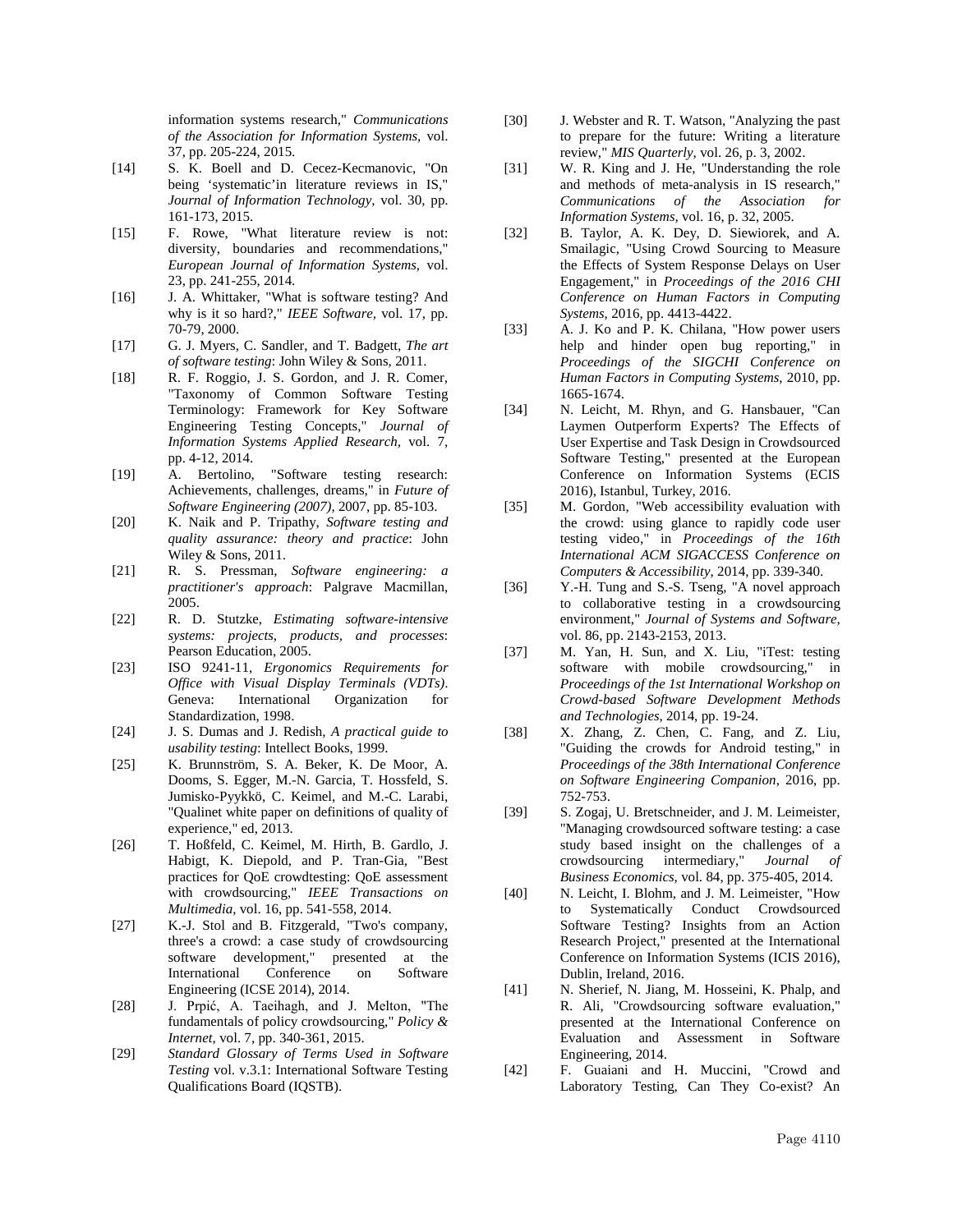information systems research," *Communications of the Association for Information Systems,* vol. 37, pp. 205-224, 2015.

- <span id="page-8-0"></span>[14] S. K. Boell and D. Cecez-Kecmanovic, "On being 'systematic'in literature reviews in IS," *Journal of Information Technology,* vol. 30, pp. 161-173, 2015.
- <span id="page-8-1"></span>[15] F. Rowe, "What literature review is not: diversity, boundaries and recommendations," *European Journal of Information Systems,* vol. 23, pp. 241-255, 2014.
- <span id="page-8-2"></span>[16] J. A. Whittaker, "What is software testing? And why is it so hard?," *IEEE Software,* vol. 17, pp. 70-79, 2000.
- <span id="page-8-3"></span>[17] G. J. Myers, C. Sandler, and T. Badgett, *The art of software testing*: John Wiley & Sons, 2011.
- <span id="page-8-4"></span>[18] R. F. Roggio, J. S. Gordon, and J. R. Comer, "Taxonomy of Common Software Testing Terminology: Framework for Key Software Engineering Testing Concepts," *Journal of Information Systems Applied Research,* vol. 7, pp. 4-12, 2014.<br>A. Bertolino,
- <span id="page-8-5"></span>[19] A. Bertolino, "Software testing research: Achievements, challenges, dreams," in *Future of Software Engineering (2007)*, 2007, pp. 85-103.
- <span id="page-8-6"></span>[20] K. Naik and P. Tripathy, *Software testing and quality assurance: theory and practice*: John Wiley & Sons, 2011.
- <span id="page-8-7"></span>[21] R. S. Pressman, *Software engineering: a practitioner's approach*: Palgrave Macmillan, 2005.
- <span id="page-8-8"></span>[22] R. D. Stutzke, *Estimating software-intensive systems: projects, products, and processes*: Pearson Education, 2005.
- <span id="page-8-9"></span>[23] ISO 9241-11, *Ergonomics Requirements for Office with Visual Display Terminals (VDTs)*. Geneva: International Organization for Standardization, 1998.
- <span id="page-8-10"></span>[24] J. S. Dumas and J. Redish, *A practical guide to usability testing*: Intellect Books, 1999.
- <span id="page-8-11"></span>[25] K. Brunnström, S. A. Beker, K. De Moor, A. Dooms, S. Egger, M.-N. Garcia, T. Hossfeld, S. Jumisko-Pyykkö, C. Keimel, and M.-C. Larabi, "Qualinet white paper on definitions of quality of experience," ed, 2013.
- <span id="page-8-12"></span>[26] T. Hoßfeld, C. Keimel, M. Hirth, B. Gardlo, J. Habigt, K. Diepold, and P. Tran-Gia, "Best practices for QoE crowdtesting: QoE assessment with crowdsourcing," *IEEE Transactions on Multimedia,* vol. 16, pp. 541-558, 2014.
- <span id="page-8-13"></span>[27] K.-J. Stol and B. Fitzgerald, "Two's company, three's a crowd: a case study of crowdsourcing software development," presented at the<br>International Conference on Software International Conference on Software Engineering (ICSE 2014), 2014.
- <span id="page-8-14"></span>[28] J. Prpić, A. Taeihagh, and J. Melton, "The fundamentals of policy crowdsourcing," *Policy & Internet,* vol. 7, pp. 340-361, 2015.
- <span id="page-8-15"></span>[29] *Standard Glossary of Terms Used in Software Testing* vol. v.3.1: International Software Testing Qualifications Board (IQSTB).
- <span id="page-8-16"></span>[30] J. Webster and R. T. Watson, "Analyzing the past to prepare for the future: Writing a literature review," *MIS Quarterly,* vol. 26, p. 3, 2002.
- <span id="page-8-17"></span>[31] W. R. King and J. He, "Understanding the role and methods of meta-analysis in IS research," *Communications of the Association for Information Systems,* vol. 16, p. 32, 2005.
- <span id="page-8-18"></span>[32] B. Taylor, A. K. Dey, D. Siewiorek, and A. Smailagic, "Using Crowd Sourcing to Measure the Effects of System Response Delays on User Engagement," in *Proceedings of the 2016 CHI Conference on Human Factors in Computing Systems*, 2016, pp. 4413-4422.
- <span id="page-8-19"></span>[33] A. J. Ko and P. K. Chilana, "How power users help and hinder open bug reporting," in *Proceedings of the SIGCHI Conference on Human Factors in Computing Systems*, 2010, pp. 1665-1674.
- <span id="page-8-20"></span>[34] N. Leicht, M. Rhyn, and G. Hansbauer, "Can Laymen Outperform Experts? The Effects of User Expertise and Task Design in Crowdsourced Software Testing," presented at the European Conference on Information Systems (ECIS 2016), Istanbul, Turkey, 2016.
- <span id="page-8-21"></span>[35] M. Gordon, "Web accessibility evaluation with the crowd: using glance to rapidly code user testing video," in *Proceedings of the 16th International ACM SIGACCESS Conference on Computers & Accessibility*, 2014, pp. 339-340.
- <span id="page-8-22"></span>[36] Y.-H. Tung and S.-S. Tseng, "A novel approach to collaborative testing in a crowdsourcing environment," *Journal of Systems and Software,*  vol. 86, pp. 2143-2153, 2013.
- <span id="page-8-23"></span>[37] M. Yan, H. Sun, and X. Liu, "iTest: testing software with mobile crowdsourcing," in *Proceedings of the 1st International Workshop on Crowd-based Software Development Methods and Technologies*, 2014, pp. 19-24.
- <span id="page-8-24"></span>[38] X. Zhang, Z. Chen, C. Fang, and Z. Liu, "Guiding the crowds for Android testing," in *Proceedings of the 38th International Conference on Software Engineering Companion*, 2016, pp. 752-753.
- <span id="page-8-25"></span>[39] S. Zogaj, U. Bretschneider, and J. M. Leimeister, "Managing crowdsourced software testing: a case study based insight on the challenges of a crowdsourcing intermediary," *Journal of Business Economics,* vol. 84, pp. 375-405, 2014.
- <span id="page-8-26"></span>[40] N. Leicht, I. Blohm, and J. M. Leimeister, "How to Systematically Conduct Crowdsourced Software Testing? Insights from an Action Research Project," presented at the International Conference on Information Systems (ICIS 2016), Dublin, Ireland, 2016.
- <span id="page-8-27"></span>[41] N. Sherief, N. Jiang, M. Hosseini, K. Phalp, and R. Ali, "Crowdsourcing software evaluation," presented at the International Conference on Evaluation and Assessment in Software Engineering, 2014.
- <span id="page-8-28"></span>[42] F. Guaiani and H. Muccini, "Crowd and Laboratory Testing, Can They Co-exist? An